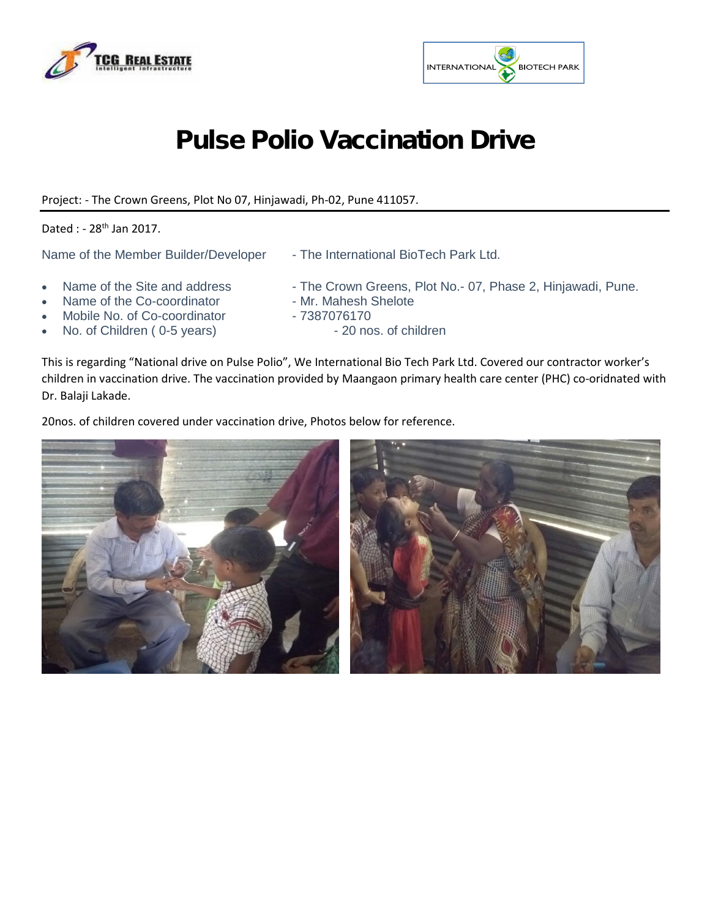



## Pulse Polio Vaccination Drive

Project: - The Crown Greens, Plot No 07, Hinjawadi, Ph-02, Pune 411057.

## Dated : - 28<sup>th</sup> Jan 2017.

- Name of the Member Builder/Developer The International BioTech Park Ltd.
- Name of the Site and address The Crown Greens, Plot No.- 07, Phase 2, Hinjawadi, Pune.
- Name of the Co-coordinator Mr. Mahesh Shelote
- Mobile No. of Co-coordinator 7387076170<br>No. of Children (0-5 years) 20 nos. of children
- No. of Children ( 0-5 years)
- 
- -

This is regarding "National drive on Pulse Polio", We International Bio Tech Park Ltd. Covered our contractor worker's children in vaccination drive. The vaccination provided by Maangaon primary health care center (PHC) co-oridnated with Dr. Balaji Lakade.

20nos. of children covered under vaccination drive, Photos below for reference.

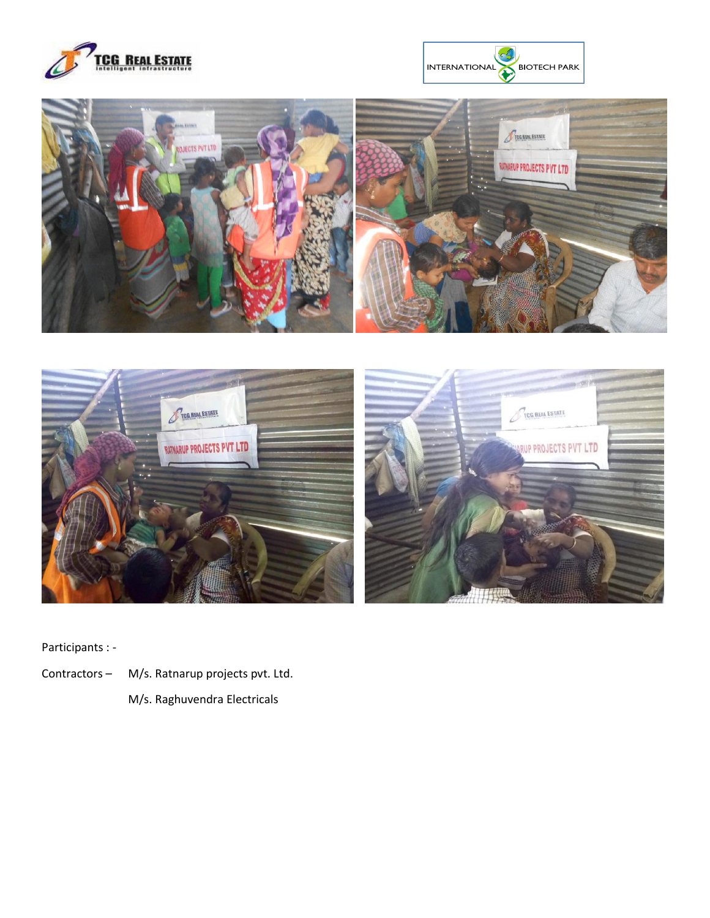







Participants : -

- Contractors M/s. Ratnarup projects pvt. Ltd.
	- M/s. Raghuvendra Electricals